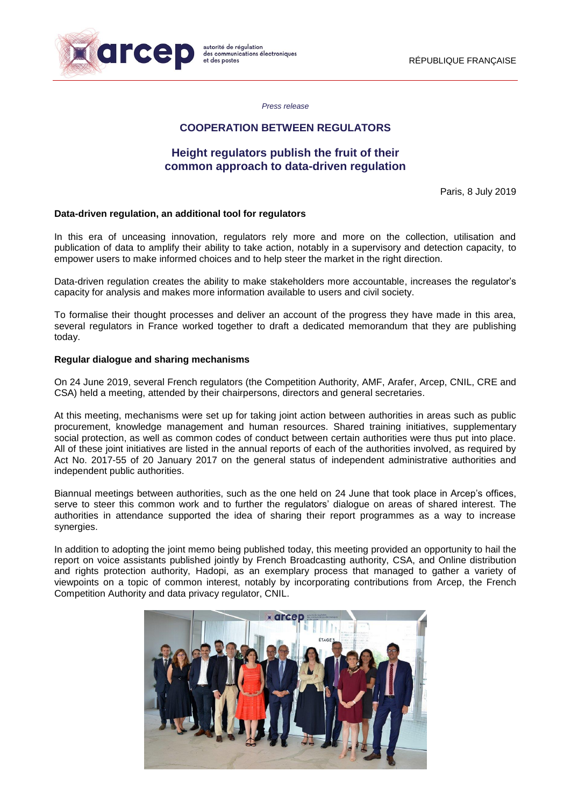

*Press release*

## **COOPERATION BETWEEN REGULATORS**

# **Height regulators publish the fruit of their common approach to data-driven regulation**

Paris, 8 July 2019

### **Data-driven regulation, an additional tool for regulators**

In this era of unceasing innovation, regulators rely more and more on the collection, utilisation and publication of data to amplify their ability to take action, notably in a supervisory and detection capacity, to empower users to make informed choices and to help steer the market in the right direction.

Data-driven regulation creates the ability to make stakeholders more accountable, increases the regulator's capacity for analysis and makes more information available to users and civil society.

To formalise their thought processes and deliver an account of the progress they have made in this area, several regulators in France worked together to draft a dedicated memorandum that they are publishing today.

#### **Regular dialogue and sharing mechanisms**

On 24 June 2019, several French regulators (the Competition Authority, AMF, Arafer, Arcep, CNIL, CRE and CSA) held a meeting, attended by their chairpersons, directors and general secretaries.

At this meeting, mechanisms were set up for taking joint action between authorities in areas such as public procurement, knowledge management and human resources. Shared training initiatives, supplementary social protection, as well as common codes of conduct between certain authorities were thus put into place. All of these joint initiatives are listed in the annual reports of each of the authorities involved, as required by Act No. 2017-55 of 20 January 2017 on the general status of independent administrative authorities and independent public authorities.

Biannual meetings between authorities, such as the one held on 24 June that took place in Arcep's offices, serve to steer this common work and to further the regulators' dialogue on areas of shared interest. The authorities in attendance supported the idea of sharing their report programmes as a way to increase synergies.

In addition to adopting the joint memo being published today, this meeting provided an opportunity to hail the report on voice assistants published jointly by French Broadcasting authority, CSA, and Online distribution and rights protection authority, Hadopi, as an exemplary process that managed to gather a variety of viewpoints on a topic of common interest, notably by incorporating contributions from Arcep, the French Competition Authority and data privacy regulator, CNIL.